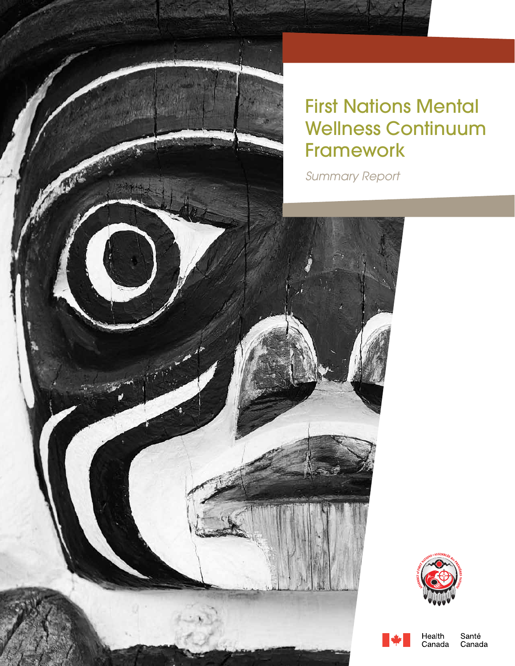

## **First Nations Mental** Wellness Continuum Framework

JA 19

*Summary Report*





Health Canada

Santé Canada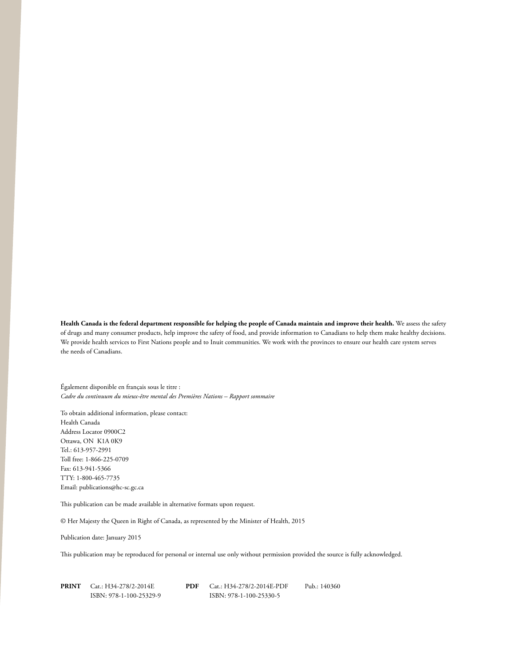**Health Canada is the federal department responsible for helping the people of Canada maintain and improve their health.** We assess the safety of drugs and many consumer products, help improve the safety of food, and provide information to Canadians to help them make healthy decisions. We provide health services to First Nations people and to Inuit communities. We work with the provinces to ensure our health care system serves the needs of Canadians.

Également disponible en français sous le titre : *Cadre du continuum du mieux-être mental des Premières Nations – Rapport sommaire*

To obtain additional information, please contact: Health Canada Address Locator 0900C2 Ottawa, ON K1A 0K9 Tel.: 613-957-2991 Toll free: 1-866-225-0709 Fax: 613-941-5366 TTY: 1-800-465-7735 Email: publications@hc-sc.gc.ca

This publication can be made available in alternative formats upon request.

© Her Majesty the Queen in Right of Canada, as represented by the Minister of Health, 2015

Publication date: January 2015

This publication may be reproduced for personal or internal use only without permission provided the source is fully acknowledged.

| <b>PRINT</b> | Cat.: H34-278/2-2014E   | PDF | Cat.: H34-278/2-2014E-PDF | Pub.: 140360 |
|--------------|-------------------------|-----|---------------------------|--------------|
|              | ISBN: 978-1-100-25329-9 |     | ISBN: 978-1-100-25330-5   |              |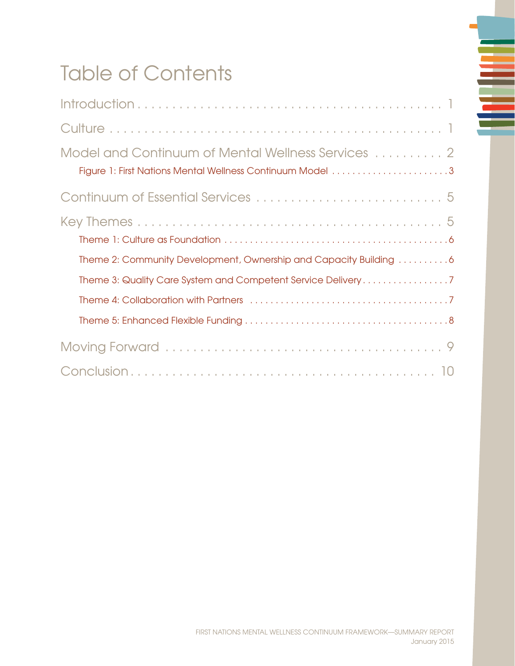# Table of Contents

| Model and Continuum of Mental Wellness Services  2                |
|-------------------------------------------------------------------|
|                                                                   |
| Theme 2: Community Development, Ownership and Capacity Building 6 |
| Theme 3: Quality Care System and Competent Service Delivery7      |
|                                                                   |
|                                                                   |
|                                                                   |

≣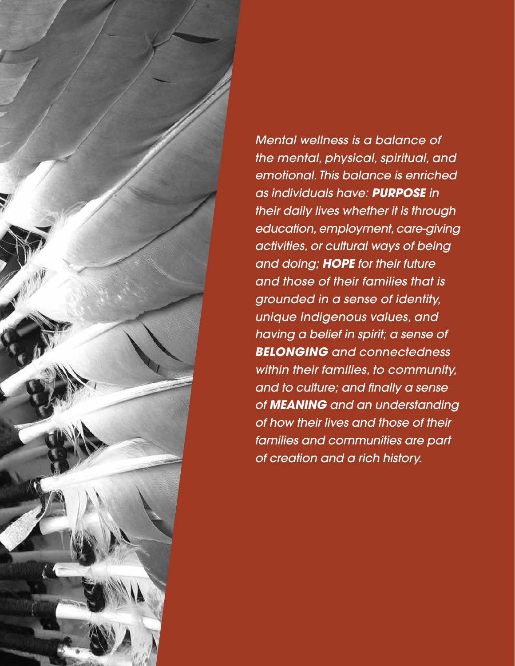

*Mental wellness is a balance of the mental, physical, spiritual, and emotional. This balance is enriched as individuals have: purpose in their daily lives whether it is through education, employment, care-giving activities, or cultural ways of being and doing; hope for their future and those of their families that is grounded in a sense of identity, unique Indigenous values, and having a belief in spirit; a sense of belonging and connectedness within their families, to community, and to culture; and finally a sense of meaning and an understanding of how their lives and those of their families and communities are part of creation and a rich history.*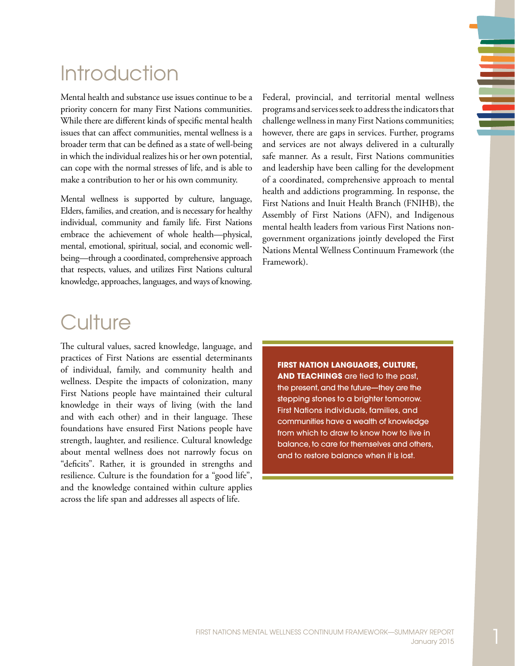# <span id="page-4-0"></span>**Introduction**

Mental health and substance use issues continue to be a priority concern for many First Nations communities. While there are different kinds of specific mental health issues that can affect communities, mental wellness is a broader term that can be defined as a state of well-being in which the individual realizes his or her own potential, can cope with the normal stresses of life, and is able to make a contribution to her or his own community.

Mental wellness is supported by culture, language, Elders, families, and creation, and is necessary for healthy individual, community and family life. First Nations embrace the achievement of whole health—physical, mental, emotional, spiritual, social, and economic wellbeing—through a coordinated, comprehensive approach that respects, values, and utilizes First Nations cultural knowledge, approaches, languages, and ways of knowing.

Federal, provincial, and territorial mental wellness programs and services seek to address the indicators that challenge wellness in many First Nations communities; however, there are gaps in services. Further, programs and services are not always delivered in a culturally safe manner. As a result, First Nations communities and leadership have been calling for the development of a coordinated, comprehensive approach to mental health and addictions programming. In response, the First Nations and Inuit Health Branch (FNIHB), the Assembly of First Nations (AFN), and Indigenous mental health leaders from various First Nations nongovernment organizations jointly developed the First Nations Mental Wellness Continuum Framework (the Framework).

## **Culture**

The cultural values, sacred knowledge, language, and practices of First Nations are essential determinants of individual, family, and community health and wellness. Despite the impacts of colonization, many First Nations people have maintained their cultural knowledge in their ways of living (with the land and with each other) and in their language. These foundations have ensured First Nations people have strength, laughter, and resilience. Cultural knowledge about mental wellness does not narrowly focus on "deficits". Rather, it is grounded in strengths and resilience. Culture is the foundation for a "good life", and the knowledge contained within culture applies across the life span and addresses all aspects of life.

**First Nation languages, culture, AND TEACHINGS** are tied to the past, the present, and the future—they are the stepping stones to a brighter tomorrow. First Nations individuals, families, and communities have a wealth of knowledge from which to draw to know how to live in balance, to care for themselves and others, and to restore balance when it is lost.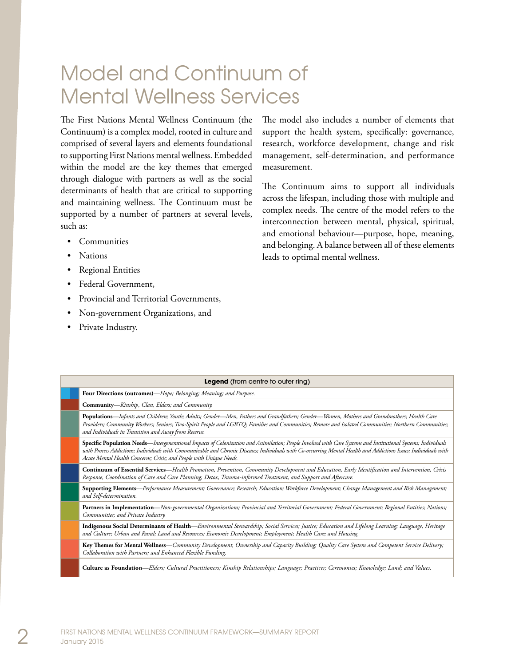## <span id="page-5-0"></span>Model and Continuum of Mental Wellness Services

The First Nations Mental Wellness Continuum (the Continuum) is a complex model, rooted in culture and comprised of several layers and elements foundational to supporting First Nations mental wellness. Embedded within the model are the key themes that emerged through dialogue with partners as well as the social determinants of health that are critical to supporting and maintaining wellness. The Continuum must be supported by a number of partners at several levels, such as:

- **Communities**
- **Nations**
- **Regional Entities**
- Federal Government,
- Provincial and Territorial Governments,
- Non-government Organizations, and
- Private Industry.

The model also includes a number of elements that support the health system, specifically: governance, research, workforce development, change and risk management, self-determination, and performance measurement.

The Continuum aims to support all individuals across the lifespan, including those with multiple and complex needs. The centre of the model refers to the interconnection between mental, physical, spiritual, and emotional behaviour—purpose, hope, meaning, and belonging. A balance between all of these elements leads to optimal mental wellness.

| Legend (from centre to outer ring) |                                                                                                                                                                                                                                                                                                                                                                                                           |  |  |  |  |  |
|------------------------------------|-----------------------------------------------------------------------------------------------------------------------------------------------------------------------------------------------------------------------------------------------------------------------------------------------------------------------------------------------------------------------------------------------------------|--|--|--|--|--|
|                                    | Four Directions (outcomes)—Hope; Belonging; Meaning; and Purpose.                                                                                                                                                                                                                                                                                                                                         |  |  |  |  |  |
|                                    | Community-Kinship, Clan, Elders; and Community.                                                                                                                                                                                                                                                                                                                                                           |  |  |  |  |  |
|                                    | Populations—Infants and Children; Youth; Adults; Gender—Men, Fathers and Grandfathers; Gender—Women, Mothers and Grandmothers; Health Care<br>Providers; Community Workers; Seniors; Two-Spirit People and LGBTQ; Families and Communities; Remote and Isolated Communities; Northern Communities;<br>and Individuals in Transition and Away from Reserve.                                                |  |  |  |  |  |
|                                    | Specific Population Needs—Intergenerational Impacts of Colonization and Assimilation; People Involved with Care Systems and Institutional Systems; Individuals<br>with Process Addictions; Individuals with Communicable and Chronic Diseases; Individuals with Co-occurring Mental Health and Addictions Issues; Individuals with<br>Acute Mental Health Concerns; Crisis; and People with Unique Needs. |  |  |  |  |  |
|                                    | Continuum of Essential Services-Health Promotion, Prevention, Community Development and Education, Early Identification and Intervention, Crisis<br>Response, Coordination of Care and Care Planning, Detox, Trauma-informed Treatment, and Support and Aftercare.                                                                                                                                        |  |  |  |  |  |
|                                    | Supporting Elements—Performance Measurement; Governance; Research; Education; Workforce Development; Change Management and Risk Management;<br>and Self-determination.                                                                                                                                                                                                                                    |  |  |  |  |  |
|                                    | Partners in Implementation—Non-governmental Organizations; Provincial and Territorial Government; Federal Government; Regional Entities; Nations;<br>Communities; and Private Industry.                                                                                                                                                                                                                   |  |  |  |  |  |
|                                    | Indigenous Social Determinants of Health-Environmental Stewardship; Social Services; Justice; Education and Lifelong Learning; Language, Heritage<br>and Culture; Urban and Rural; Land and Resources; Economic Development; Employment; Health Care; and Housing.                                                                                                                                        |  |  |  |  |  |
|                                    | Key Themes for Mental Wellness—Community Development, Ownership and Capacity Building; Quality Care System and Competent Service Delivery;<br>Collaboration with Partners; and Enhanced Flexible Funding.                                                                                                                                                                                                 |  |  |  |  |  |
|                                    | Culture as Foundation—Elders; Cultural Practitioners; Kinship Relationships; Language; Practices; Ceremonies; Knowledge; Land; and Values.                                                                                                                                                                                                                                                                |  |  |  |  |  |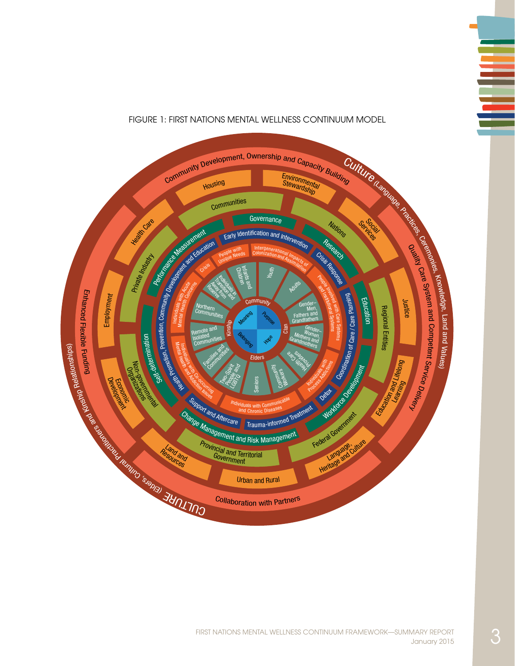#### Figure 1: First Nations Mental Wellness Continuum Model

<span id="page-6-0"></span>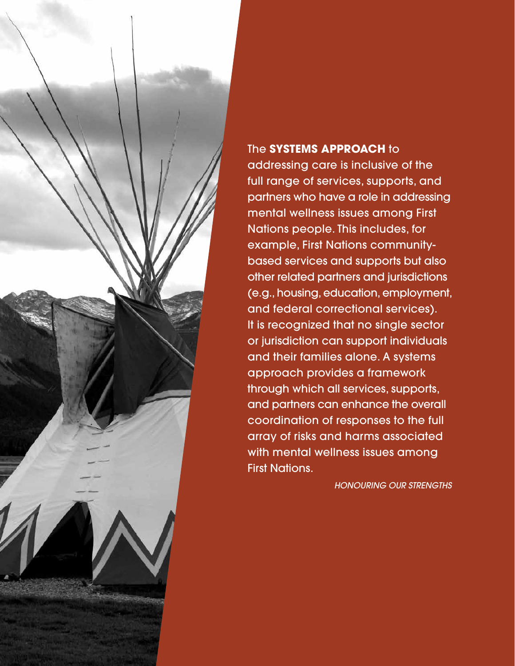

### The **systems approach** to

addressing care is inclusive of the full range of services, supports, and partners who have a role in addressing mental wellness issues among First Nations people. This includes, for example, First Nations communitybased services and supports but also other related partners and jurisdictions (e.g., housing, education, employment, and federal correctional services). It is recognized that no single sector or jurisdiction can support individuals and their families alone. A systems approach provides a framework through which all services, supports, and partners can enhance the overall coordination of responses to the full array of risks and harms associated with mental wellness issues among First Nations.

*Honouring Our Strengths*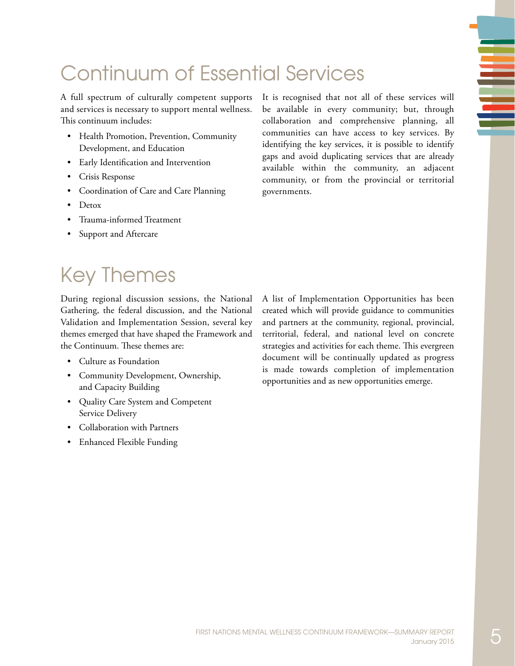# <span id="page-8-0"></span>Continuum of Essential Services

A full spectrum of culturally competent supports and services is necessary to support mental wellness. This continuum includes:

- • Health Promotion, Prevention, Community Development, and Education
- • Early Identification and Intervention
- Crisis Response
- Coordination of Care and Care Planning
- Detox
- • Trauma-informed Treatment
- Support and Aftercare

It is recognised that not all of these services will be available in every community; but, through collaboration and comprehensive planning, all communities can have access to key services. By identifying the key services, it is possible to identify gaps and avoid duplicating services that are already available within the community, an adjacent community, or from the provincial or territorial governments.

# Key Themes

During regional discussion sessions, the National Gathering, the federal discussion, and the National Validation and Implementation Session, several key themes emerged that have shaped the Framework and the Continuum. These themes are:

- Culture as Foundation
- Community Development, Ownership, and Capacity Building
- • Quality Care System and Competent Service Delivery
- **Collaboration with Partners**
- Enhanced Flexible Funding

A list of Implementation Opportunities has been created which will provide guidance to communities and partners at the community, regional, provincial, territorial, federal, and national level on concrete strategies and activities for each theme. This evergreen document will be continually updated as progress is made towards completion of implementation opportunities and as new opportunities emerge.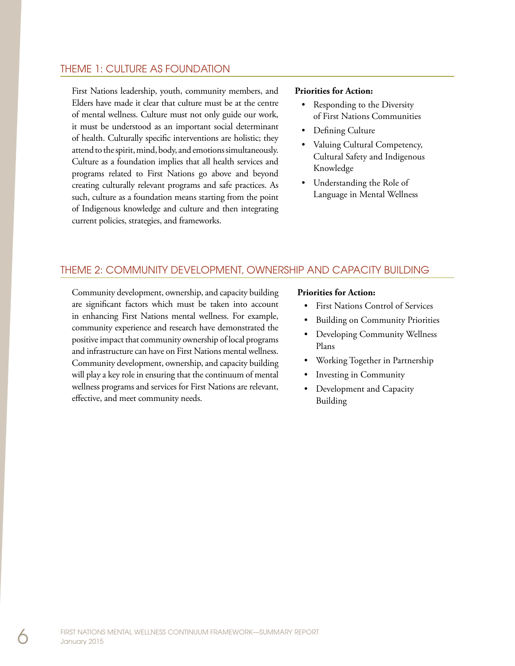#### <span id="page-9-0"></span>Theme 1: Culture as Foundation

First Nations leadership, youth, community members, and Elders have made it clear that culture must be at the centre of mental wellness. Culture must not only guide our work, it must be understood as an important social determinant of health. Culturally specific interventions are holistic; they attend to the spirit, mind, body, and emotions simultaneously. Culture as a foundation implies that all health services and programs related to First Nations go above and beyond creating culturally relevant programs and safe practices. As such, culture as a foundation means starting from the point of Indigenous knowledge and culture and then integrating current policies, strategies, and frameworks.

#### **Priorities for Action:**

- Responding to the Diversity of First Nations Communities
- Defining Culture
- Valuing Cultural Competency, Cultural Safety and Indigenous Knowledge
- • Understanding the Role of Language in Mental Wellness

### Theme 2: Community Development, Ownership and Capacity Building

Community development, ownership, and capacity building are significant factors which must be taken into account in enhancing First Nations mental wellness. For example, community experience and research have demonstrated the positive impact that community ownership of local programs and infrastructure can have on First Nations mental wellness. Community development, ownership, and capacity building will play a key role in ensuring that the continuum of mental wellness programs and services for First Nations are relevant, effective, and meet community needs.

#### **Priorities for Action:**

- **First Nations Control of Services**
- **Building on Community Priorities**
- Developing Community Wellness Plans
- • Working Together in Partnership
- Investing in Community
- Development and Capacity Building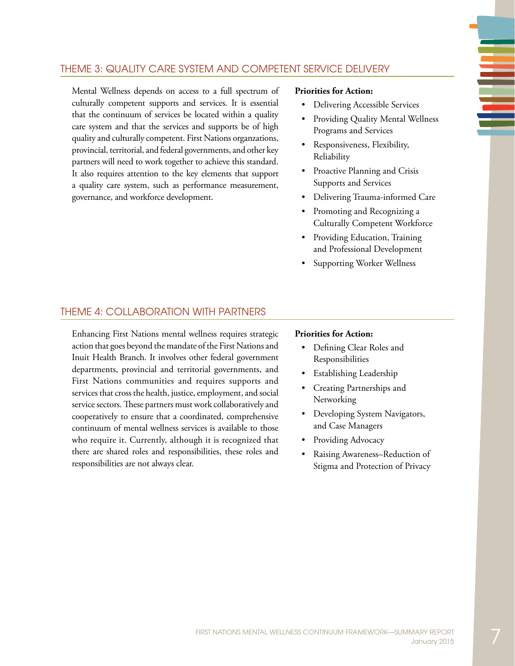### <span id="page-10-0"></span>Theme 3: Quality Care System and Competent Service Delivery

Mental Wellness depends on access to a full spectrum of culturally competent supports and services. It is essential that the continuum of services be located within a quality care system and that the services and supports be of high quality and culturally competent. First Nations organzations, provincial, territorial, and federal governments, and other key partners will need to work together to achieve this standard. It also requires attention to the key elements that support a quality care system, such as performance measurement, governance, and workforce development.

#### **Priorities for Action:**

- Delivering Accessible Services
- Providing Quality Mental Wellness Programs and Services
- Responsiveness, Flexibility, Reliability
- Proactive Planning and Crisis Supports and Services
- • Delivering Trauma-informed Care
- Promoting and Recognizing a Culturally Competent Workforce
- Providing Education, Training and Professional Development
- Supporting Worker Wellness

### Theme 4: Collaboration with Partners

Enhancing First Nations mental wellness requires strategic action that goes beyond the mandate of the First Nations and Inuit Health Branch. It involves other federal government departments, provincial and territorial governments, and First Nations communities and requires supports and services that cross the health, justice, employment, and social service sectors. These partners must work collaboratively and cooperatively to ensure that a coordinated, comprehensive continuum of mental wellness services is available to those who require it. Currently, although it is recognized that there are shared roles and responsibilities, these roles and responsibilities are not always clear.

#### **Priorities for Action:**

- Defining Clear Roles and Responsibilities
- Establishing Leadership
- Creating Partnerships and Networking
- Developing System Navigators, and Case Managers
- Providing Advocacy
- Raising Awareness–Reduction of Stigma and Protection of Privacy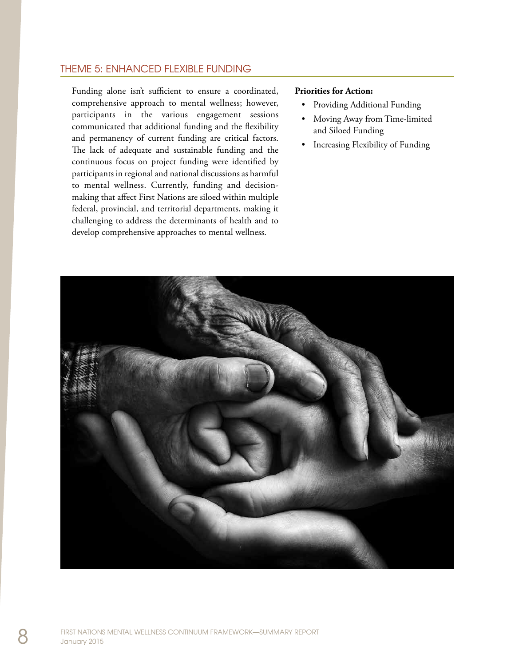### <span id="page-11-0"></span>Theme 5: Enhanced Flexible Funding

Funding alone isn't sufficient to ensure a coordinated, comprehensive approach to mental wellness; however, participants in the various engagement sessions communicated that additional funding and the flexibility and permanency of current funding are critical factors. The lack of adequate and sustainable funding and the continuous focus on project funding were identified by participants in regional and national discussions as harmful to mental wellness. Currently, funding and decisionmaking that affect First Nations are siloed within multiple federal, provincial, and territorial departments, making it challenging to address the determinants of health and to develop comprehensive approaches to mental wellness.

#### **Priorities for Action:**

- Providing Additional Funding
- Moving Away from Time-limited and Siloed Funding
- Increasing Flexibility of Funding

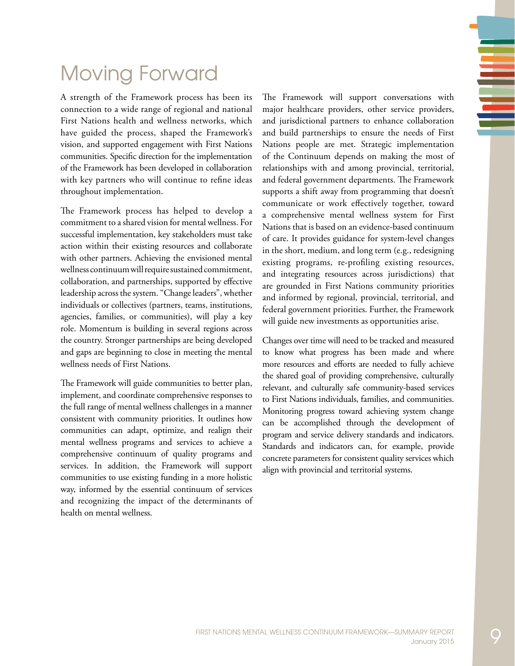## <span id="page-12-0"></span>Moving Forward

A strength of the Framework process has been its connection to a wide range of regional and national First Nations health and wellness networks, which have guided the process, shaped the Framework's vision, and supported engagement with First Nations communities. Specific direction for the implementation of the Framework has been developed in collaboration with key partners who will continue to refine ideas throughout implementation.

The Framework process has helped to develop a commitment to a shared vision for mental wellness. For successful implementation, key stakeholders must take action within their existing resources and collaborate with other partners. Achieving the envisioned mental wellness continuum will require sustained commitment, collaboration, and partnerships, supported by effective leadership across the system. "Change leaders", whether individuals or collectives (partners, teams, institutions, agencies, families, or communities), will play a key role. Momentum is building in several regions across the country. Stronger partnerships are being developed and gaps are beginning to close in meeting the mental wellness needs of First Nations.

The Framework will guide communities to better plan, implement, and coordinate comprehensive responses to the full range of mental wellness challenges in a manner consistent with community priorities. It outlines how communities can adapt, optimize, and realign their mental wellness programs and services to achieve a comprehensive continuum of quality programs and services. In addition, the Framework will support communities to use existing funding in a more holistic way, informed by the essential continuum of services and recognizing the impact of the determinants of health on mental wellness.

The Framework will support conversations with major healthcare providers, other service providers, and jurisdictional partners to enhance collaboration and build partnerships to ensure the needs of First Nations people are met. Strategic implementation of the Continuum depends on making the most of relationships with and among provincial, territorial, and federal government departments. The Framework supports a shift away from programming that doesn't communicate or work effectively together, toward a comprehensive mental wellness system for First Nations that is based on an evidence-based continuum of care. It provides guidance for system-level changes in the short, medium, and long term (e.g., redesigning existing programs, re-profiling existing resources, and integrating resources across jurisdictions) that are grounded in First Nations community priorities and informed by regional, provincial, territorial, and federal government priorities. Further, the Framework will guide new investments as opportunities arise.

Changes over time will need to be tracked and measured to know what progress has been made and where more resources and efforts are needed to fully achieve the shared goal of providing comprehensive, culturally relevant, and culturally safe community-based services to First Nations individuals, families, and communities. Monitoring progress toward achieving system change can be accomplished through the development of program and service delivery standards and indicators. Standards and indicators can, for example, provide concrete parameters for consistent quality services which align with provincial and territorial systems.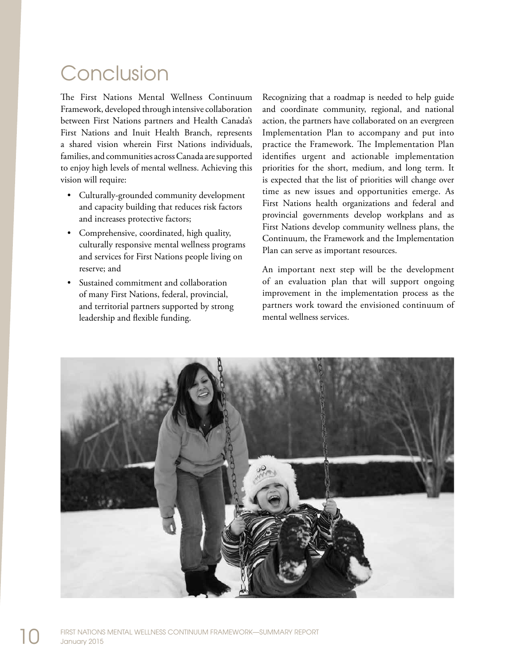# <span id="page-13-0"></span>Conclusion

The First Nations Mental Wellness Continuum Framework, developed through intensive collaboration between First Nations partners and Health Canada's First Nations and Inuit Health Branch, represents a shared vision wherein First Nations individuals, families, and communities across Canada are supported to enjoy high levels of mental wellness. Achieving this vision will require:

- Culturally-grounded community development and capacity building that reduces risk factors and increases protective factors;
- • Comprehensive, coordinated, high quality, culturally responsive mental wellness programs and services for First Nations people living on reserve; and
- Sustained commitment and collaboration of many First Nations, federal, provincial, and territorial partners supported by strong leadership and flexible funding.

Recognizing that a roadmap is needed to help guide and coordinate community, regional, and national action, the partners have collaborated on an evergreen Implementation Plan to accompany and put into practice the Framework. The Implementation Plan identifies urgent and actionable implementation priorities for the short, medium, and long term. It is expected that the list of priorities will change over time as new issues and opportunities emerge. As First Nations health organizations and federal and provincial governments develop workplans and as First Nations develop community wellness plans, the Continuum, the Framework and the Implementation Plan can serve as important resources.

An important next step will be the development of an evaluation plan that will support ongoing improvement in the implementation process as the partners work toward the envisioned continuum of mental wellness services.